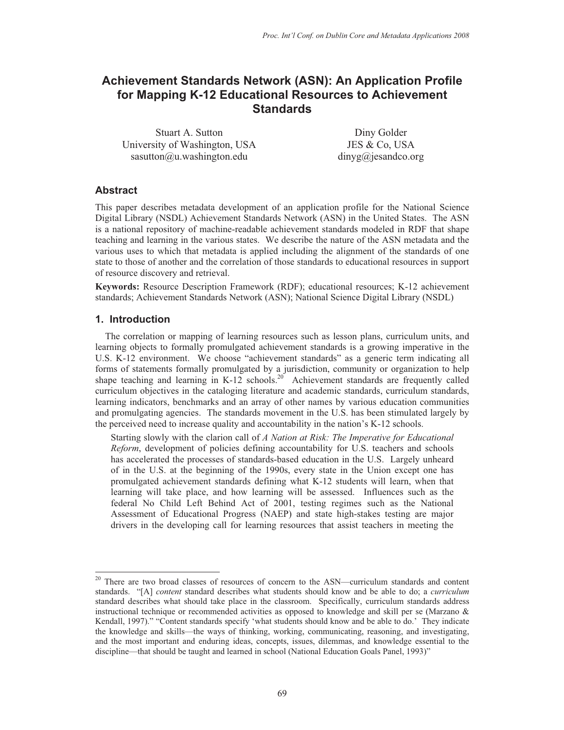# **Achievement Standards Network (ASN): An Application Profile for Mapping K-12 Educational Resources to Achievement Standards**

Stuart A. Sutton University of Washington, USA sasutton@u.washington.edu

Diny Golder JES & Co, USA dinyg@jesandco.org

## **Abstract**

This paper describes metadata development of an application profile for the National Science Digital Library (NSDL) Achievement Standards Network (ASN) in the United States. The ASN is a national repository of machine-readable achievement standards modeled in RDF that shape teaching and learning in the various states. We describe the nature of the ASN metadata and the various uses to which that metadata is applied including the alignment of the standards of one state to those of another and the correlation of those standards to educational resources in support of resource discovery and retrieval.

**Keywords:** Resource Description Framework (RDF); educational resources; K-12 achievement standards; Achievement Standards Network (ASN); National Science Digital Library (NSDL)

## **1. Introduction**

 $\overline{a}$ 

The correlation or mapping of learning resources such as lesson plans, curriculum units, and learning objects to formally promulgated achievement standards is a growing imperative in the U.S. K-12 environment. We choose "achievement standards" as a generic term indicating all forms of statements formally promulgated by a jurisdiction, community or organization to help shape teaching and learning in K-12 schools.<sup>20</sup> Achievement standards are frequently called curriculum objectives in the cataloging literature and academic standards, curriculum standards, learning indicators, benchmarks and an array of other names by various education communities and promulgating agencies. The standards movement in the U.S. has been stimulated largely by the perceived need to increase quality and accountability in the nation's K-12 schools.

Starting slowly with the clarion call of *A Nation at Risk: The Imperative for Educational Reform*, development of policies defining accountability for U.S. teachers and schools has accelerated the processes of standards-based education in the U.S. Largely unheard of in the U.S. at the beginning of the 1990s, every state in the Union except one has promulgated achievement standards defining what K-12 students will learn, when that learning will take place, and how learning will be assessed. Influences such as the federal No Child Left Behind Act of 2001, testing regimes such as the National Assessment of Educational Progress (NAEP) and state high-stakes testing are major drivers in the developing call for learning resources that assist teachers in meeting the

<sup>&</sup>lt;sup>20</sup> There are two broad classes of resources of concern to the ASN—curriculum standards and content standards. "[A] *content* standard describes what students should know and be able to do; a *curriculum* standard describes what should take place in the classroom. Specifically, curriculum standards address instructional technique or recommended activities as opposed to knowledge and skill per se (Marzano & Kendall, 1997)." "Content standards specify 'what students should know and be able to do.' They indicate the knowledge and skills—the ways of thinking, working, communicating, reasoning, and investigating, and the most important and enduring ideas, concepts, issues, dilemmas, and knowledge essential to the discipline—that should be taught and learned in school (National Education Goals Panel, 1993)"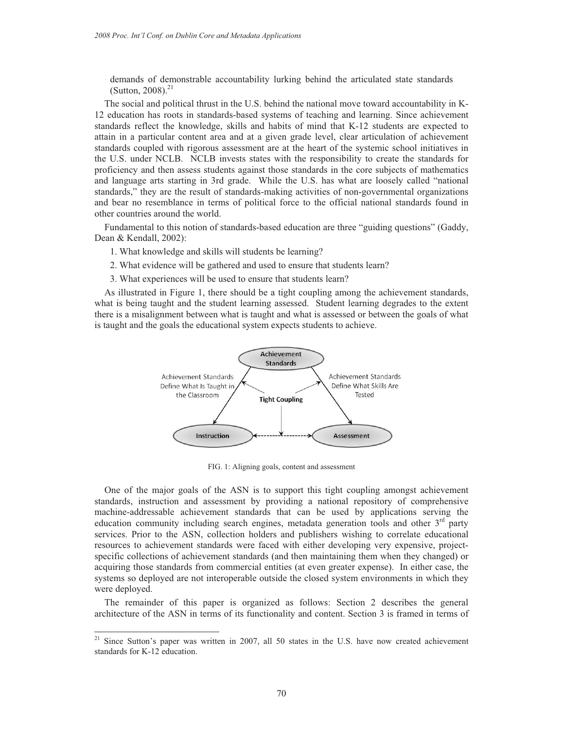demands of demonstrable accountability lurking behind the articulated state standards (Sutton, 2008).<sup>21</sup>

The social and political thrust in the U.S. behind the national move toward accountability in K-12 education has roots in standards-based systems of teaching and learning. Since achievement standards reflect the knowledge, skills and habits of mind that K-12 students are expected to attain in a particular content area and at a given grade level, clear articulation of achievement standards coupled with rigorous assessment are at the heart of the systemic school initiatives in the U.S. under NCLB. NCLB invests states with the responsibility to create the standards for proficiency and then assess students against those standards in the core subjects of mathematics and language arts starting in 3rd grade. While the U.S. has what are loosely called "national standards," they are the result of standards-making activities of non-governmental organizations and bear no resemblance in terms of political force to the official national standards found in other countries around the world.

Fundamental to this notion of standards-based education are three "guiding questions" (Gaddy, Dean & Kendall, 2002):

- 1. What knowledge and skills will students be learning?
- 2. What evidence will be gathered and used to ensure that students learn?
- 3. What experiences will be used to ensure that students learn?

As illustrated in Figure 1, there should be a tight coupling among the achievement standards, what is being taught and the student learning assessed. Student learning degrades to the extent there is a misalignment between what is taught and what is assessed or between the goals of what is taught and the goals the educational system expects students to achieve.



FIG. 1: Aligning goals, content and assessment

One of the major goals of the ASN is to support this tight coupling amongst achievement standards, instruction and assessment by providing a national repository of comprehensive machine-addressable achievement standards that can be used by applications serving the education community including search engines, metadata generation tools and other  $3<sup>rd</sup>$  party services. Prior to the ASN, collection holders and publishers wishing to correlate educational resources to achievement standards were faced with either developing very expensive, projectspecific collections of achievement standards (and then maintaining them when they changed) or acquiring those standards from commercial entities (at even greater expense). In either case, the systems so deployed are not interoperable outside the closed system environments in which they were deployed.

The remainder of this paper is organized as follows: Section 2 describes the general architecture of the ASN in terms of its functionality and content. Section 3 is framed in terms of

 $21\,$ 21 Since Sutton's paper was written in 2007, all 50 states in the U.S. have now created achievement standards for K-12 education.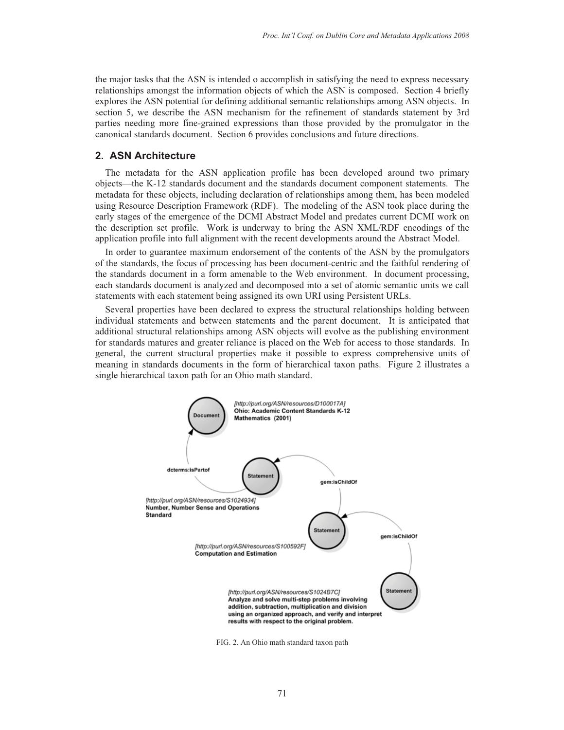the major tasks that the ASN is intended o accomplish in satisfying the need to express necessary relationships amongst the information objects of which the ASN is composed. Section 4 briefly explores the ASN potential for defining additional semantic relationships among ASN objects. In section 5, we describe the ASN mechanism for the refinement of standards statement by 3rd parties needing more fine-grained expressions than those provided by the promulgator in the canonical standards document. Section 6 provides conclusions and future directions.

#### **2. ASN Architecture**

The metadata for the ASN application profile has been developed around two primary objects—the K-12 standards document and the standards document component statements. The metadata for these objects, including declaration of relationships among them, has been modeled using Resource Description Framework (RDF). The modeling of the ASN took place during the early stages of the emergence of the DCMI Abstract Model and predates current DCMI work on the description set profile. Work is underway to bring the ASN XML/RDF encodings of the application profile into full alignment with the recent developments around the Abstract Model.

In order to guarantee maximum endorsement of the contents of the ASN by the promulgators of the standards, the focus of processing has been document-centric and the faithful rendering of the standards document in a form amenable to the Web environment. In document processing, each standards document is analyzed and decomposed into a set of atomic semantic units we call statements with each statement being assigned its own URI using Persistent URLs.

Several properties have been declared to express the structural relationships holding between individual statements and between statements and the parent document. It is anticipated that additional structural relationships among ASN objects will evolve as the publishing environment for standards matures and greater reliance is placed on the Web for access to those standards. In general, the current structural properties make it possible to express comprehensive units of meaning in standards documents in the form of hierarchical taxon paths. Figure 2 illustrates a single hierarchical taxon path for an Ohio math standard.



FIG. 2. An Ohio math standard taxon path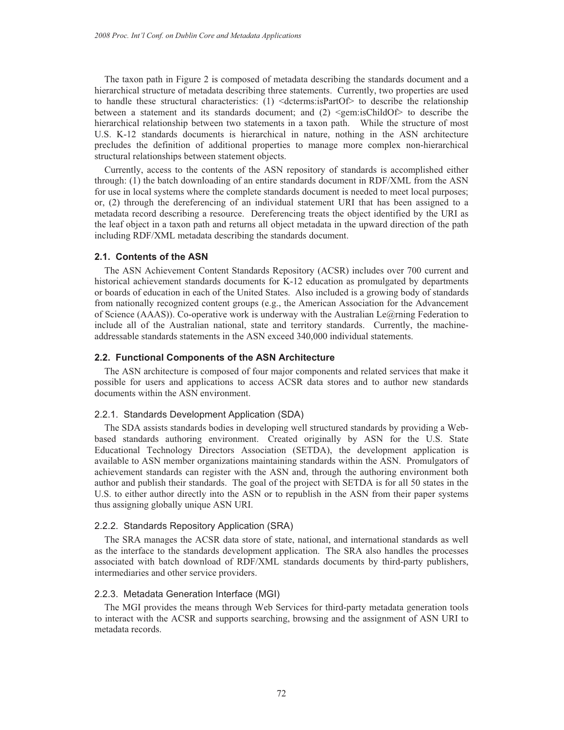The taxon path in Figure 2 is composed of metadata describing the standards document and a hierarchical structure of metadata describing three statements. Currently, two properties are used to handle these structural characteristics:  $(1)$  <dcterms:isPartOf> to describe the relationship between a statement and its standards document; and  $(2)$  <gem:isChildOf> to describe the hierarchical relationship between two statements in a taxon path. While the structure of most U.S. K-12 standards documents is hierarchical in nature, nothing in the ASN architecture precludes the definition of additional properties to manage more complex non-hierarchical structural relationships between statement objects.

Currently, access to the contents of the ASN repository of standards is accomplished either through: (1) the batch downloading of an entire standards document in RDF/XML from the ASN for use in local systems where the complete standards document is needed to meet local purposes; or, (2) through the dereferencing of an individual statement URI that has been assigned to a metadata record describing a resource. Dereferencing treats the object identified by the URI as the leaf object in a taxon path and returns all object metadata in the upward direction of the path including RDF/XML metadata describing the standards document.

#### **2.1. Contents of the ASN**

The ASN Achievement Content Standards Repository (ACSR) includes over 700 current and historical achievement standards documents for K-12 education as promulgated by departments or boards of education in each of the United States. Also included is a growing body of standards from nationally recognized content groups (e.g., the American Association for the Advancement of Science (AAAS)). Co-operative work is underway with the Australian Le@rning Federation to include all of the Australian national, state and territory standards. Currently, the machineaddressable standards statements in the ASN exceed 340,000 individual statements.

#### **2.2. Functional Components of the ASN Architecture**

The ASN architecture is composed of four major components and related services that make it possible for users and applications to access ACSR data stores and to author new standards documents within the ASN environment.

#### 2.2.1. Standards Development Application (SDA)

The SDA assists standards bodies in developing well structured standards by providing a Webbased standards authoring environment. Created originally by ASN for the U.S. State Educational Technology Directors Association (SETDA), the development application is available to ASN member organizations maintaining standards within the ASN. Promulgators of achievement standards can register with the ASN and, through the authoring environment both author and publish their standards. The goal of the project with SETDA is for all 50 states in the U.S. to either author directly into the ASN or to republish in the ASN from their paper systems thus assigning globally unique ASN URI.

#### 2.2.2. Standards Repository Application (SRA)

The SRA manages the ACSR data store of state, national, and international standards as well as the interface to the standards development application. The SRA also handles the processes associated with batch download of RDF/XML standards documents by third-party publishers, intermediaries and other service providers.

#### 2.2.3. Metadata Generation Interface (MGI)

The MGI provides the means through Web Services for third-party metadata generation tools to interact with the ACSR and supports searching, browsing and the assignment of ASN URI to metadata records.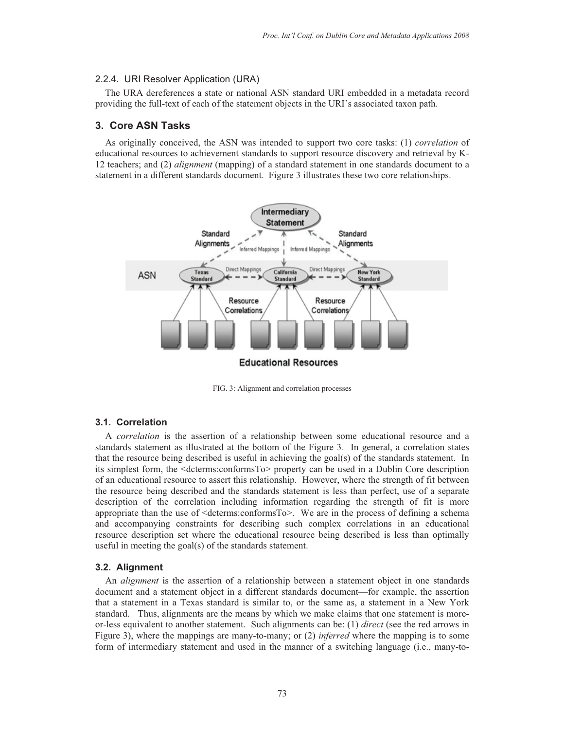#### 2.2.4. URI Resolver Application (URA)

The URA dereferences a state or national ASN standard URI embedded in a metadata record providing the full-text of each of the statement objects in the URI's associated taxon path.

#### **3. Core ASN Tasks**

As originally conceived, the ASN was intended to support two core tasks: (1) *correlation* of educational resources to achievement standards to support resource discovery and retrieval by K-12 teachers; and (2) *alignment* (mapping) of a standard statement in one standards document to a statement in a different standards document. Figure 3 illustrates these two core relationships.



FIG. 3: Alignment and correlation processes

#### **3.1. Correlation**

A *correlation* is the assertion of a relationship between some educational resource and a standards statement as illustrated at the bottom of the Figure 3. In general, a correlation states that the resource being described is useful in achieving the goal(s) of the standards statement. In its simplest form, the <dcterms:conformsTo> property can be used in a Dublin Core description of an educational resource to assert this relationship. However, where the strength of fit between the resource being described and the standards statement is less than perfect, use of a separate description of the correlation including information regarding the strength of fit is more appropriate than the use of  $\leq$  determs: conforms  $To$ . We are in the process of defining a schema and accompanying constraints for describing such complex correlations in an educational resource description set where the educational resource being described is less than optimally useful in meeting the goal(s) of the standards statement.

#### **3.2. Alignment**

An *alignment* is the assertion of a relationship between a statement object in one standards document and a statement object in a different standards document—for example, the assertion that a statement in a Texas standard is similar to, or the same as, a statement in a New York standard. Thus, alignments are the means by which we make claims that one statement is moreor-less equivalent to another statement. Such alignments can be: (1) *direct* (see the red arrows in Figure 3), where the mappings are many-to-many; or (2) *inferred* where the mapping is to some form of intermediary statement and used in the manner of a switching language (i.e., many-to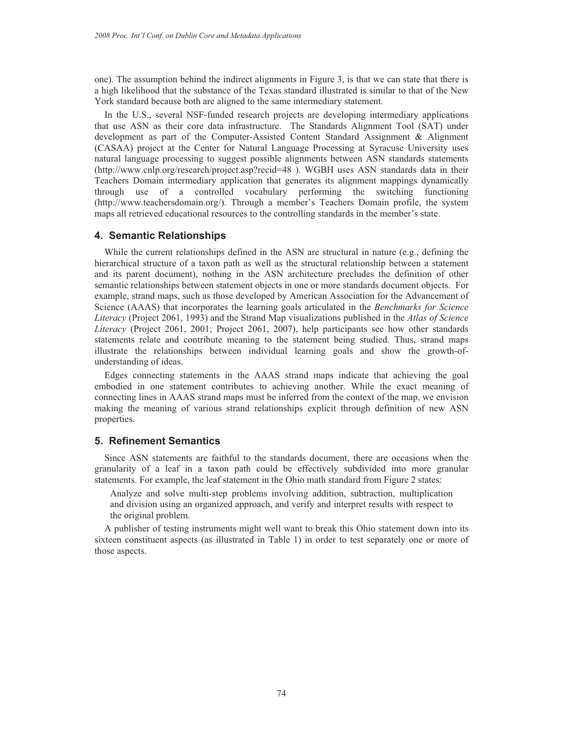one). The assumption behind the indirect alignments in Figure 3, is that we can state that there is a high likelihood that the substance of the Texas standard illustrated is similar to that of the New York standard because both are aligned to the same intermediary statement.

In the U.S., several NSF-funded research projects are developing intermediary applications that use ASN as their core data infrastructure. The Standards Alignment Tool (SAT) under development as part of the Computer-Assisted Content Standard Assignment & Alignment (CASAA) project at the Center for Natural Language Processing at Syracuse University uses natural language processing to suggest possible alignments between ASN standards statements (http://www.cnlp.org/research/project.asp?recid=48 ). WGBH uses ASN standards data in their Teachers Domain intermediary application that generates its alignment mappings dynamically through use of a controlled vocabulary performing the switching functioning (http://www.teachersdomain.org/). Through a member's Teachers Domain profile, the system maps all retrieved educational resources to the controlling standards in the member's state.

## **4. Semantic Relationships**

While the current relationships defined in the ASN are structural in nature (e.g., defining the hierarchical structure of a taxon path as well as the structural relationship between a statement and its parent document), nothing in the ASN architecture precludes the definition of other semantic relationships between statement objects in one or more standards document objects. For example, strand maps, such as those developed by American Association for the Advancement of Science (AAAS) that incorporates the learning goals articulated in the *Benchmarks for Science Literacy* (Project 2061, 1993) and the Strand Map visualizations published in the *Atlas of Science Literacy* (Project 2061, 2001; Project 2061, 2007), help participants see how other standards statements relate and contribute meaning to the statement being studied. Thus, strand maps illustrate the relationships between individual learning goals and show the growth-ofunderstanding of ideas.

Edges connecting statements in the AAAS strand maps indicate that achieving the goal embodied in one statement contributes to achieving another. While the exact meaning of connecting lines in AAAS strand maps must be inferred from the context of the map, we envision making the meaning of various strand relationships explicit through definition of new ASN properties.

## **5. Refinement Semantics**

Since ASN statements are faithful to the standards document, there are occasions when the granularity of a leaf in a taxon path could be effectively subdivided into more granular statements. For example, the leaf statement in the Ohio math standard from Figure 2 states:

Analyze and solve multi-step problems involving addition, subtraction, multiplication and division using an organized approach, and verify and interpret results with respect to the original problem.

A publisher of testing instruments might well want to break this Ohio statement down into its sixteen constituent aspects (as illustrated in Table 1) in order to test separately one or more of those aspects.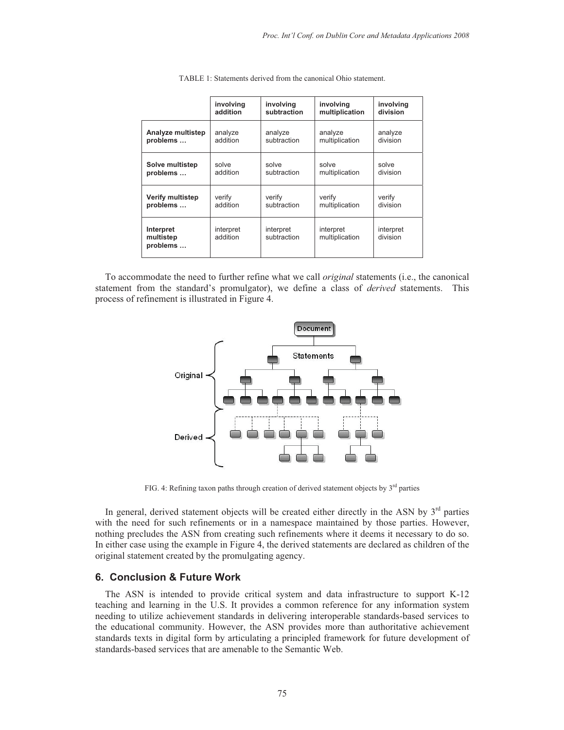|                                    | involving             | involving                | involving                   | involving             |
|------------------------------------|-----------------------|--------------------------|-----------------------------|-----------------------|
|                                    | addition              | subtraction              | multiplication              | division              |
| Analyze multistep                  | analyze               | analyze                  | analyze                     | analyze               |
| problems                           | addition              | subtraction              | multiplication              | division              |
| Solve multistep                    | solve                 | solve                    | solve                       | solve                 |
| problems                           | addition              | subtraction              | multiplication              | division              |
| Verify multistep                   | verify                | verify                   | verify                      | verify                |
| problems                           | addition              | subtraction              | multiplication              | division              |
| Interpret<br>multistep<br>problems | interpret<br>addition | interpret<br>subtraction | interpret<br>multiplication | interpret<br>division |

TABLE 1: Statements derived from the canonical Ohio statement.

To accommodate the need to further refine what we call *original* statements (i.e., the canonical statement from the standard's promulgator), we define a class of *derived* statements. This process of refinement is illustrated in Figure 4.



FIG. 4: Refining taxon paths through creation of derived statement objects by  $3<sup>rd</sup>$  parties

In general, derived statement objects will be created either directly in the ASN by  $3<sup>rd</sup>$  parties with the need for such refinements or in a namespace maintained by those parties. However, nothing precludes the ASN from creating such refinements where it deems it necessary to do so. In either case using the example in Figure 4, the derived statements are declared as children of the original statement created by the promulgating agency.

## **6. Conclusion & Future Work**

The ASN is intended to provide critical system and data infrastructure to support K-12 teaching and learning in the U.S. It provides a common reference for any information system needing to utilize achievement standards in delivering interoperable standards-based services to the educational community. However, the ASN provides more than authoritative achievement standards texts in digital form by articulating a principled framework for future development of standards-based services that are amenable to the Semantic Web.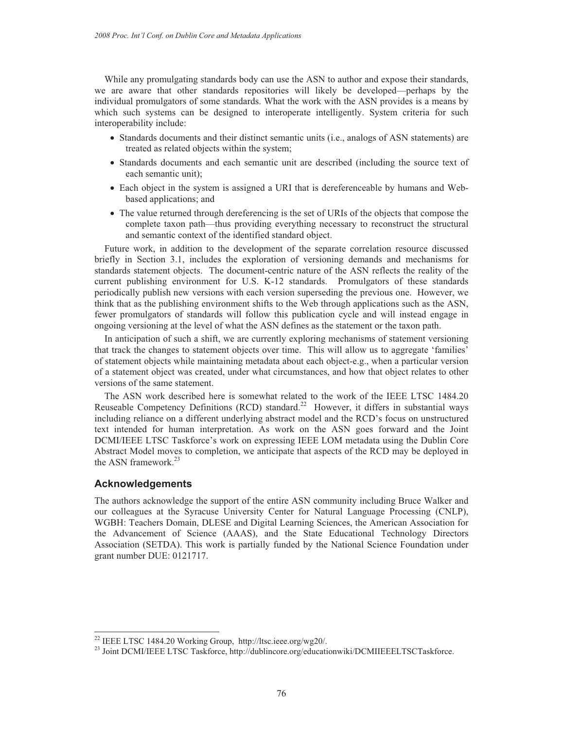While any promulgating standards body can use the ASN to author and expose their standards, we are aware that other standards repositories will likely be developed—perhaps by the individual promulgators of some standards. What the work with the ASN provides is a means by which such systems can be designed to interoperate intelligently. System criteria for such interoperability include:

- Standards documents and their distinct semantic units (i.e., analogs of ASN statements) are treated as related objects within the system;
- Standards documents and each semantic unit are described (including the source text of each semantic unit);
- Each object in the system is assigned a URI that is dereferenceable by humans and Webbased applications; and
- The value returned through dereferencing is the set of URIs of the objects that compose the complete taxon path—thus providing everything necessary to reconstruct the structural and semantic context of the identified standard object.

Future work, in addition to the development of the separate correlation resource discussed briefly in Section 3.1, includes the exploration of versioning demands and mechanisms for standards statement objects. The document-centric nature of the ASN reflects the reality of the current publishing environment for U.S. K-12 standards. Promulgators of these standards periodically publish new versions with each version superseding the previous one. However, we think that as the publishing environment shifts to the Web through applications such as the ASN, fewer promulgators of standards will follow this publication cycle and will instead engage in ongoing versioning at the level of what the ASN defines as the statement or the taxon path.

In anticipation of such a shift, we are currently exploring mechanisms of statement versioning that track the changes to statement objects over time. This will allow us to aggregate 'families' of statement objects while maintaining metadata about each object-e.g., when a particular version of a statement object was created, under what circumstances, and how that object relates to other versions of the same statement.

The ASN work described here is somewhat related to the work of the IEEE LTSC 1484.20 Reuseable Competency Definitions (RCD) standard.<sup>22</sup> However, it differs in substantial ways including reliance on a different underlying abstract model and the RCD's focus on unstructured text intended for human interpretation. As work on the ASN goes forward and the Joint DCMI/IEEE LTSC Taskforce's work on expressing IEEE LOM metadata using the Dublin Core Abstract Model moves to completion, we anticipate that aspects of the RCD may be deployed in the ASN framework.<sup>23</sup>

## **Acknowledgements**

 $\overline{a}$ 

The authors acknowledge the support of the entire ASN community including Bruce Walker and our colleagues at the Syracuse University Center for Natural Language Processing (CNLP), WGBH: Teachers Domain, DLESE and Digital Learning Sciences, the American Association for the Advancement of Science (AAAS), and the State Educational Technology Directors Association (SETDA). This work is partially funded by the National Science Foundation under grant number DUE: 0121717.

<sup>&</sup>lt;sup>22</sup> IEEE LTSC 1484.20 Working Group, http://ltsc.ieee.org/wg20/.

<sup>&</sup>lt;sup>23</sup> Joint DCMI/IEEE LTSC Taskforce, http://dublincore.org/educationwiki/DCMIIEEELTSCTaskforce.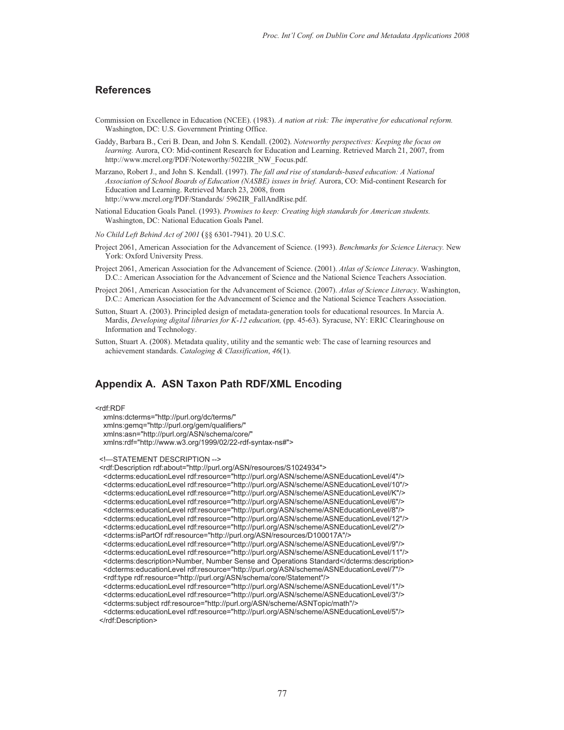## **References**

- Commission on Excellence in Education (NCEE). (1983). *A nation at risk: The imperative for educational reform.* Washington, DC: U.S. Government Printing Office.
- Gaddy, Barbara B., Ceri B. Dean, and John S. Kendall. (2002). *Noteworthy perspectives: Keeping the focus on learning.* Aurora, CO: Mid-continent Research for Education and Learning. Retrieved March 21, 2007, from http://www.mcrel.org/PDF/Noteworthy/5022IR\_NW\_Focus.pdf.
- Marzano, Robert J., and John S. Kendall. (1997). *The fall and rise of standards-based education: A National Association of School Boards of Education (NASBE) issues in brief.* Aurora, CO: Mid-continent Research for Education and Learning. Retrieved March 23, 2008, from http://www.mcrel.org/PDF/Standards/ 5962IR\_FallAndRise.pdf.
- National Education Goals Panel. (1993). *Promises to keep: Creating high standards for American students.* Washington, DC: National Education Goals Panel.

*No Child Left Behind Act of 2001* (§§ 6301-7941). 20 U.S.C.

- Project 2061, American Association for the Advancement of Science. (1993). *Benchmarks for Science Literacy.* New York: Oxford University Press.
- Project 2061, American Association for the Advancement of Science. (2001). *Atlas of Science Literacy*. Washington, D.C.: American Association for the Advancement of Science and the National Science Teachers Association.
- Project 2061, American Association for the Advancement of Science. (2007). *Atlas of Science Literacy*. Washington, D.C.: American Association for the Advancement of Science and the National Science Teachers Association.
- Sutton, Stuart A. (2003). Principled design of metadata-generation tools for educational resources. In Marcia A. Mardis, *Developing digital libraries for K-12 education,* (pp. 45-63). Syracuse, NY: ERIC Clearinghouse on Information and Technology.
- Sutton, Stuart A. (2008). Metadata quality, utility and the semantic web: The case of learning resources and achievement standards. *Cataloging & Classification*, *46*(1).

#### **Appendix A. ASN Taxon Path RDF/XML Encoding**

#### <rdf:RDF

 xmlns:dcterms="http://purl.org/dc/terms/" xmlns:gemq="http://purl.org/gem/qualifiers/" xmlns:asn="http://purl.org/ASN/schema/core/" xmlns:rdf="http://www.w3.org/1999/02/22-rdf-syntax-ns#">

#### <!—STATEMENT DESCRIPTION -->

<rdf:Description rdf:about="http://purl.org/ASN/resources/S1024934">

 <dcterms:educationLevel rdf:resource="http://purl.org/ASN/scheme/ASNEducationLevel/4"/> <dcterms:educationLevel rdf:resource="http://purl.org/ASN/scheme/ASNEducationLevel/10"/> <dcterms:educationLevel rdf:resource="http://purl.org/ASN/scheme/ASNEducationLevel/K"/> <dcterms:educationLevel rdf:resource="http://purl.org/ASN/scheme/ASNEducationLevel/6"/> <dcterms:educationLevel rdf:resource="http://purl.org/ASN/scheme/ASNEducationLevel/8"/> <dcterms:educationLevel rdf:resource="http://purl.org/ASN/scheme/ASNEducationLevel/12"/> <dcterms:educationLevel rdf:resource="http://purl.org/ASN/scheme/ASNEducationLevel/2"/> <dcterms:isPartOf rdf:resource="http://purl.org/ASN/resources/D100017A"/>

- <dcterms:educationLevel rdf:resource="http://purl.org/ASN/scheme/ASNEducationLevel/9"/> <dcterms:educationLevel rdf:resource="http://purl.org/ASN/scheme/ASNEducationLevel/11"/> <dcterms:description>Number, Number Sense and Operations Standard</dcterms:description> <dcterms:educationLevel rdf:resource="http://purl.org/ASN/scheme/ASNEducationLevel/7"/> <rdf:type rdf:resource="http://purl.org/ASN/schema/core/Statement"/>
- <dcterms:educationLevel rdf:resource="http://purl.org/ASN/scheme/ASNEducationLevel/1"/> <dcterms:educationLevel rdf:resource="http://purl.org/ASN/scheme/ASNEducationLevel/3"/> <dcterms:subject rdf:resource="http://purl.org/ASN/scheme/ASNTopic/math"/>

 <dcterms:educationLevel rdf:resource="http://purl.org/ASN/scheme/ASNEducationLevel/5"/> </rdf:Description>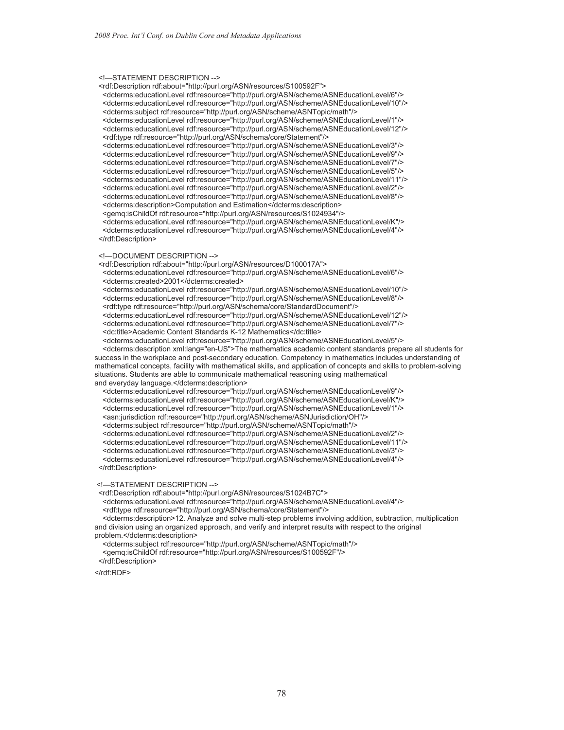#### <!—STATEMENT DESCRIPTION -->

<rdf:Description rdf:about="http://purl.org/ASN/resources/S100592F">

 <dcterms:educationLevel rdf:resource="http://purl.org/ASN/scheme/ASNEducationLevel/6"/> <dcterms:educationLevel rdf:resource="http://purl.org/ASN/scheme/ASNEducationLevel/10"/> <dcterms:subject rdf:resource="http://purl.org/ASN/scheme/ASNTopic/math"/>

 <dcterms:educationLevel rdf:resource="http://purl.org/ASN/scheme/ASNEducationLevel/1"/> <dcterms:educationLevel rdf:resource="http://purl.org/ASN/scheme/ASNEducationLevel/12"/> <rdf:type rdf:resource="http://purl.org/ASN/schema/core/Statement"/>

 <dcterms:educationLevel rdf:resource="http://purl.org/ASN/scheme/ASNEducationLevel/3"/> <dcterms:educationLevel rdf:resource="http://purl.org/ASN/scheme/ASNEducationLevel/9"/> <dcterms:educationLevel rdf:resource="http://purl.org/ASN/scheme/ASNEducationLevel/7"/> <dcterms:educationLevel rdf:resource="http://purl.org/ASN/scheme/ASNEducationLevel/5"/> <dcterms:educationLevel rdf:resource="http://purl.org/ASN/scheme/ASNEducationLevel/11"/> <dcterms:educationLevel rdf:resource="http://purl.org/ASN/scheme/ASNEducationLevel/2"/> <dcterms:educationLevel rdf:resource="http://purl.org/ASN/scheme/ASNEducationLevel/8"/> <dcterms:description>Computation and Estimation</dcterms:description>

<gemq:isChildOf rdf:resource="http://purl.org/ASN/resources/S1024934"/>

 <dcterms:educationLevel rdf:resource="http://purl.org/ASN/scheme/ASNEducationLevel/K"/> <dcterms:educationLevel rdf:resource="http://purl.org/ASN/scheme/ASNEducationLevel/4"/> </rdf:Description>

#### <!—DOCUMENT DESCRIPTION -->

<rdf:Description rdf:about="http://purl.org/ASN/resources/D100017A">

 <dcterms:educationLevel rdf:resource="http://purl.org/ASN/scheme/ASNEducationLevel/6"/> <dcterms:created>2001</dcterms:created>

 <dcterms:educationLevel rdf:resource="http://purl.org/ASN/scheme/ASNEducationLevel/10"/> <dcterms:educationLevel rdf:resource="http://purl.org/ASN/scheme/ASNEducationLevel/8"/> <rdf:type rdf:resource="http://purl.org/ASN/schema/core/StandardDocument"/>

 <dcterms:educationLevel rdf:resource="http://purl.org/ASN/scheme/ASNEducationLevel/12"/> <dcterms:educationLevel rdf:resource="http://purl.org/ASN/scheme/ASNEducationLevel/7"/> <dc:title>Academic Content Standards K-12 Mathematics</dc:title>

<dcterms:educationLevel rdf:resource="http://purl.org/ASN/scheme/ASNEducationLevel/5"/>

 <dcterms:description xml:lang="en-US">The mathematics academic content standards prepare all students for success in the workplace and post-secondary education. Competency in mathematics includes understanding of mathematical concepts, facility with mathematical skills, and application of concepts and skills to problem-solving situations. Students are able to communicate mathematical reasoning using mathematical and everyday language.</dcterms:description>

 <dcterms:educationLevel rdf:resource="http://purl.org/ASN/scheme/ASNEducationLevel/9"/> <dcterms:educationLevel rdf:resource="http://purl.org/ASN/scheme/ASNEducationLevel/K"/>

<dcterms:educationLevel rdf:resource="http://purl.org/ASN/scheme/ASNEducationLevel/1"/>

<asn:jurisdiction rdf:resource="http://purl.org/ASN/scheme/ASNJurisdiction/OH"/>

<dcterms:subject rdf:resource="http://purl.org/ASN/scheme/ASNTopic/math"/>

<dcterms:educationLevel rdf:resource="http://purl.org/ASN/scheme/ASNEducationLevel/2"/>

 <dcterms:educationLevel rdf:resource="http://purl.org/ASN/scheme/ASNEducationLevel/11"/> <dcterms:educationLevel rdf:resource="http://purl.org/ASN/scheme/ASNEducationLevel/3"/> <dcterms:educationLevel rdf:resource="http://purl.org/ASN/scheme/ASNEducationLevel/4"/>

</rdf:Description>

#### <!—STATEMENT DESCRIPTION -->

<rdf:Description rdf:about="http://purl.org/ASN/resources/S1024B7C">

 <dcterms:educationLevel rdf:resource="http://purl.org/ASN/scheme/ASNEducationLevel/4"/> <rdf:type rdf:resource="http://purl.org/ASN/schema/core/Statement"/>

 <dcterms:description>12. Analyze and solve multi-step problems involving addition, subtraction, multiplication and division using an organized approach, and verify and interpret results with respect to the original problem.</dcterms:description>

 <dcterms:subject rdf:resource="http://purl.org/ASN/scheme/ASNTopic/math"/> <gemq:isChildOf rdf:resource="http://purl.org/ASN/resources/S100592F"/> </rdf:Description>

</rdf:RDF>